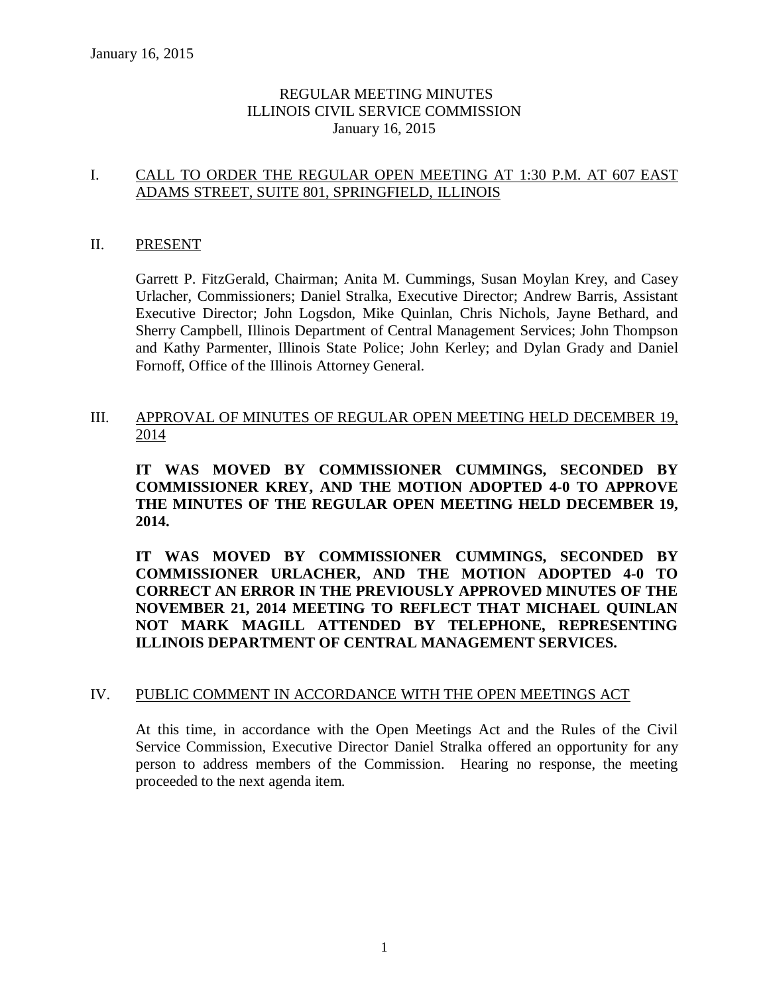### REGULAR MEETING MINUTES ILLINOIS CIVIL SERVICE COMMISSION January 16, 2015

### I. CALL TO ORDER THE REGULAR OPEN MEETING AT 1:30 P.M. AT 607 EAST ADAMS STREET, SUITE 801, SPRINGFIELD, ILLINOIS

#### II. PRESENT

Garrett P. FitzGerald, Chairman; Anita M. Cummings, Susan Moylan Krey, and Casey Urlacher, Commissioners; Daniel Stralka, Executive Director; Andrew Barris, Assistant Executive Director; John Logsdon, Mike Quinlan, Chris Nichols, Jayne Bethard, and Sherry Campbell, Illinois Department of Central Management Services; John Thompson and Kathy Parmenter, Illinois State Police; John Kerley; and Dylan Grady and Daniel Fornoff, Office of the Illinois Attorney General.

III. APPROVAL OF MINUTES OF REGULAR OPEN MEETING HELD DECEMBER 19, 2014

**IT WAS MOVED BY COMMISSIONER CUMMINGS, SECONDED BY COMMISSIONER KREY, AND THE MOTION ADOPTED 4-0 TO APPROVE THE MINUTES OF THE REGULAR OPEN MEETING HELD DECEMBER 19, 2014.** 

**IT WAS MOVED BY COMMISSIONER CUMMINGS, SECONDED BY COMMISSIONER URLACHER, AND THE MOTION ADOPTED 4-0 TO CORRECT AN ERROR IN THE PREVIOUSLY APPROVED MINUTES OF THE NOVEMBER 21, 2014 MEETING TO REFLECT THAT MICHAEL QUINLAN NOT MARK MAGILL ATTENDED BY TELEPHONE, REPRESENTING ILLINOIS DEPARTMENT OF CENTRAL MANAGEMENT SERVICES.**

#### IV. PUBLIC COMMENT IN ACCORDANCE WITH THE OPEN MEETINGS ACT

At this time, in accordance with the Open Meetings Act and the Rules of the Civil Service Commission, Executive Director Daniel Stralka offered an opportunity for any person to address members of the Commission. Hearing no response, the meeting proceeded to the next agenda item.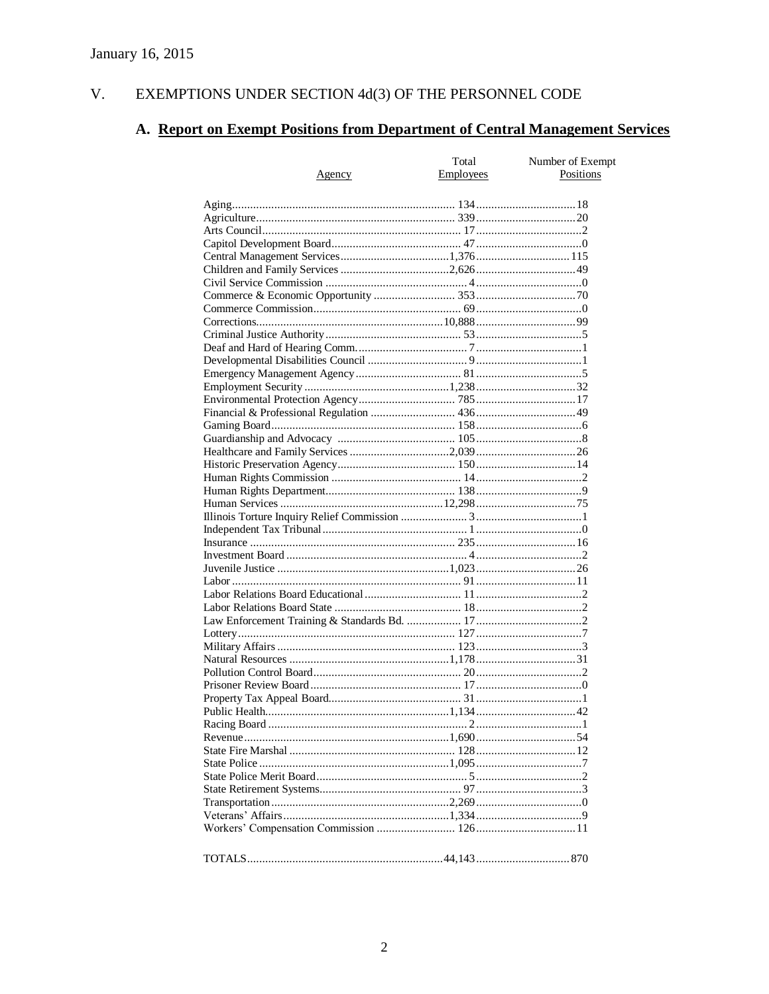#### V. EXEMPTIONS UNDER SECTION  $4d(3)$  OF THE PERSONNEL CODE

# A. Report on Exempt Positions from Department of Central Management Services

|        | Total     | Number of Exempt |
|--------|-----------|------------------|
| Agency | Employees | Positions        |
|        |           |                  |
|        |           |                  |
|        |           |                  |
|        |           |                  |
|        |           |                  |
|        |           |                  |
|        |           |                  |
|        |           |                  |
|        |           |                  |
|        |           |                  |
|        |           |                  |
|        |           |                  |
|        |           |                  |
|        |           |                  |
|        |           |                  |
|        |           |                  |
|        |           |                  |
|        |           |                  |
|        |           |                  |
|        |           |                  |
|        |           |                  |
|        |           |                  |
|        |           |                  |
|        |           |                  |
|        |           |                  |
|        |           |                  |
|        |           |                  |
|        |           |                  |
|        |           |                  |
|        |           |                  |
|        |           |                  |
|        |           |                  |
|        |           |                  |
|        |           |                  |
|        |           |                  |
|        |           |                  |
|        |           |                  |
|        |           |                  |
|        |           |                  |
|        |           |                  |
|        |           |                  |
|        |           |                  |
|        |           |                  |
|        |           |                  |
|        |           |                  |
|        |           |                  |
|        |           |                  |
|        |           |                  |
|        |           |                  |
|        |           |                  |
|        |           |                  |
|        |           |                  |
|        |           |                  |
|        |           |                  |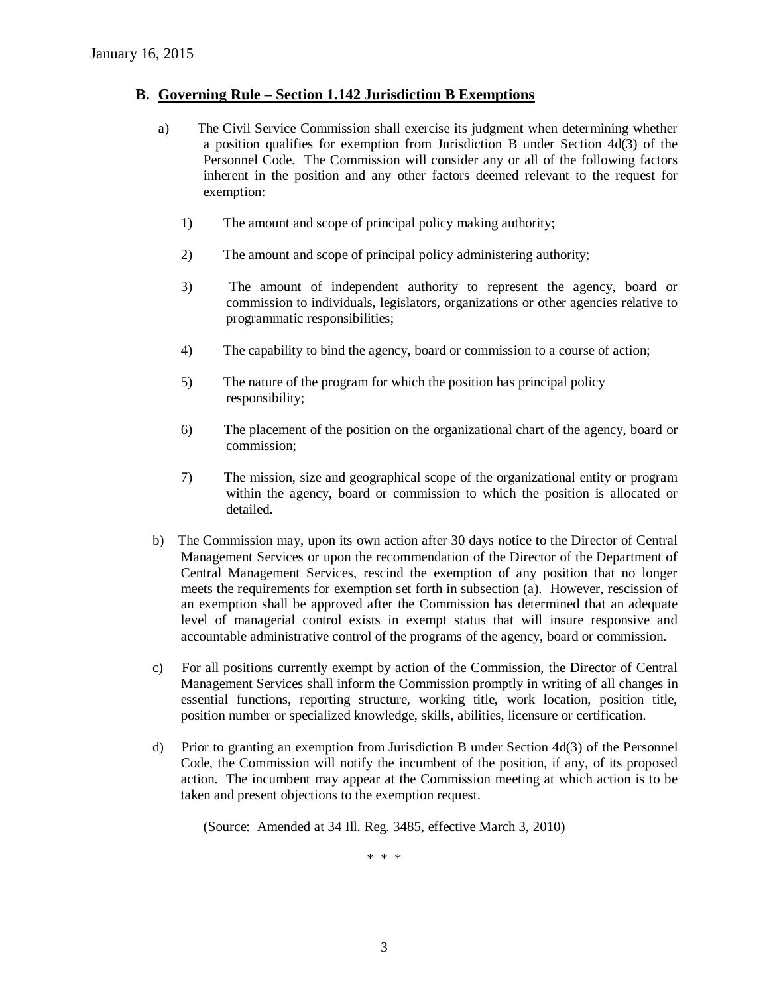#### **B. Governing Rule – Section 1.142 Jurisdiction B Exemptions**

- a) The Civil Service Commission shall exercise its judgment when determining whether a position qualifies for exemption from Jurisdiction B under Section 4d(3) of the Personnel Code. The Commission will consider any or all of the following factors inherent in the position and any other factors deemed relevant to the request for exemption:
	- 1) The amount and scope of principal policy making authority;
	- 2) The amount and scope of principal policy administering authority;
	- 3) The amount of independent authority to represent the agency, board or commission to individuals, legislators, organizations or other agencies relative to programmatic responsibilities;
	- 4) The capability to bind the agency, board or commission to a course of action;
	- 5) The nature of the program for which the position has principal policy responsibility;
	- 6) The placement of the position on the organizational chart of the agency, board or commission;
	- 7) The mission, size and geographical scope of the organizational entity or program within the agency, board or commission to which the position is allocated or detailed.
- b) The Commission may, upon its own action after 30 days notice to the Director of Central Management Services or upon the recommendation of the Director of the Department of Central Management Services, rescind the exemption of any position that no longer meets the requirements for exemption set forth in subsection (a). However, rescission of an exemption shall be approved after the Commission has determined that an adequate level of managerial control exists in exempt status that will insure responsive and accountable administrative control of the programs of the agency, board or commission.
- c) For all positions currently exempt by action of the Commission, the Director of Central Management Services shall inform the Commission promptly in writing of all changes in essential functions, reporting structure, working title, work location, position title, position number or specialized knowledge, skills, abilities, licensure or certification.
- d) Prior to granting an exemption from Jurisdiction B under Section 4d(3) of the Personnel Code, the Commission will notify the incumbent of the position, if any, of its proposed action. The incumbent may appear at the Commission meeting at which action is to be taken and present objections to the exemption request.

(Source: Amended at 34 Ill. Reg. 3485, effective March 3, 2010)

\* \* \*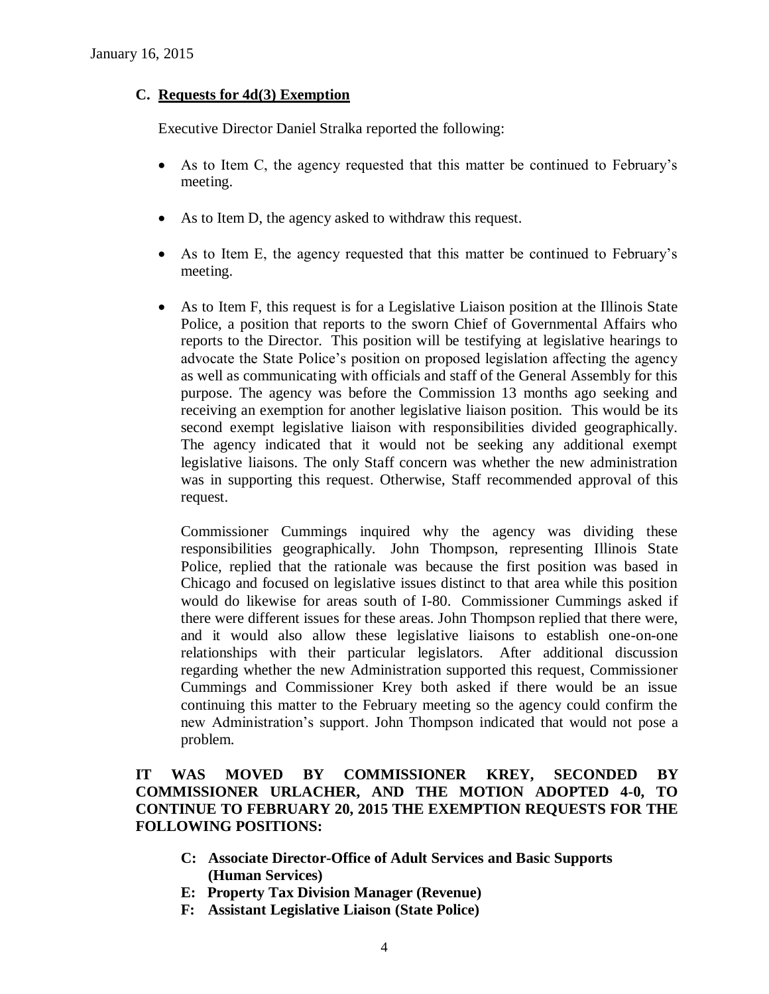### **C. Requests for 4d(3) Exemption**

Executive Director Daniel Stralka reported the following:

- As to Item C, the agency requested that this matter be continued to February's meeting.
- As to Item D, the agency asked to withdraw this request.
- As to Item E, the agency requested that this matter be continued to February's meeting.
- As to Item F, this request is for a Legislative Liaison position at the Illinois State Police, a position that reports to the sworn Chief of Governmental Affairs who reports to the Director. This position will be testifying at legislative hearings to advocate the State Police's position on proposed legislation affecting the agency as well as communicating with officials and staff of the General Assembly for this purpose. The agency was before the Commission 13 months ago seeking and receiving an exemption for another legislative liaison position. This would be its second exempt legislative liaison with responsibilities divided geographically. The agency indicated that it would not be seeking any additional exempt legislative liaisons. The only Staff concern was whether the new administration was in supporting this request. Otherwise, Staff recommended approval of this request.

Commissioner Cummings inquired why the agency was dividing these responsibilities geographically. John Thompson, representing Illinois State Police, replied that the rationale was because the first position was based in Chicago and focused on legislative issues distinct to that area while this position would do likewise for areas south of I-80. Commissioner Cummings asked if there were different issues for these areas. John Thompson replied that there were, and it would also allow these legislative liaisons to establish one-on-one relationships with their particular legislators. After additional discussion regarding whether the new Administration supported this request, Commissioner Cummings and Commissioner Krey both asked if there would be an issue continuing this matter to the February meeting so the agency could confirm the new Administration's support. John Thompson indicated that would not pose a problem.

### **IT WAS MOVED BY COMMISSIONER KREY, SECONDED BY COMMISSIONER URLACHER, AND THE MOTION ADOPTED 4-0, TO CONTINUE TO FEBRUARY 20, 2015 THE EXEMPTION REQUESTS FOR THE FOLLOWING POSITIONS:**

- **C: Associate Director-Office of Adult Services and Basic Supports (Human Services)**
- **E: Property Tax Division Manager (Revenue)**
- **F: Assistant Legislative Liaison (State Police)**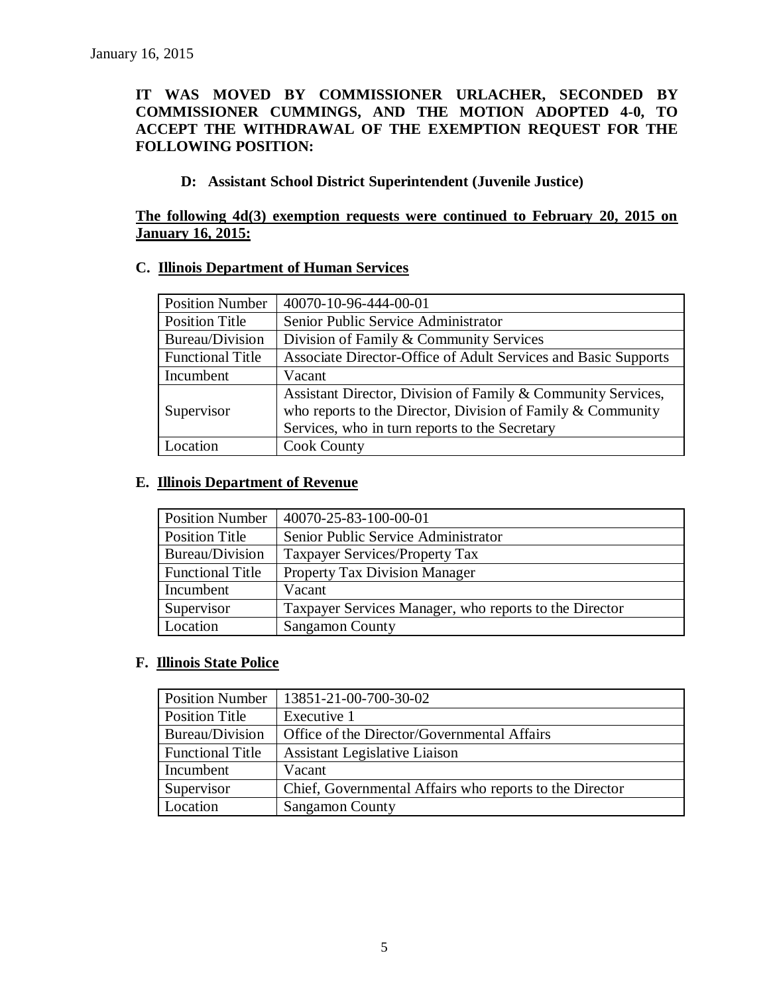### **IT WAS MOVED BY COMMISSIONER URLACHER, SECONDED BY COMMISSIONER CUMMINGS, AND THE MOTION ADOPTED 4-0, TO ACCEPT THE WITHDRAWAL OF THE EXEMPTION REQUEST FOR THE FOLLOWING POSITION:**

### **D: Assistant School District Superintendent (Juvenile Justice)**

### **The following 4d(3) exemption requests were continued to February 20, 2015 on January 16, 2015:**

### **C. Illinois Department of Human Services**

| <b>Position Number</b>  | 40070-10-96-444-00-01                                          |
|-------------------------|----------------------------------------------------------------|
| <b>Position Title</b>   | Senior Public Service Administrator                            |
| Bureau/Division         | Division of Family & Community Services                        |
| <b>Functional Title</b> | Associate Director-Office of Adult Services and Basic Supports |
| Incumbent               | Vacant                                                         |
|                         | Assistant Director, Division of Family & Community Services,   |
| Supervisor              | who reports to the Director, Division of Family $&$ Community  |
|                         | Services, who in turn reports to the Secretary                 |
| Location                | <b>Cook County</b>                                             |

#### **E. Illinois Department of Revenue**

| <b>Position Number</b>  | 40070-25-83-100-00-01                                  |
|-------------------------|--------------------------------------------------------|
| Position Title          | Senior Public Service Administrator                    |
| Bureau/Division         | Taxpayer Services/Property Tax                         |
| <b>Functional Title</b> | <b>Property Tax Division Manager</b>                   |
| Incumbent               | Vacant                                                 |
| Supervisor              | Taxpayer Services Manager, who reports to the Director |
| Location                | <b>Sangamon County</b>                                 |

### **F. Illinois State Police**

| <b>Position Number</b>  | 13851-21-00-700-30-02                                   |
|-------------------------|---------------------------------------------------------|
| <b>Position Title</b>   | Executive 1                                             |
| Bureau/Division         | Office of the Director/Governmental Affairs             |
| <b>Functional Title</b> | <b>Assistant Legislative Liaison</b>                    |
| Incumbent               | Vacant                                                  |
| Supervisor              | Chief, Governmental Affairs who reports to the Director |
| Location                | <b>Sangamon County</b>                                  |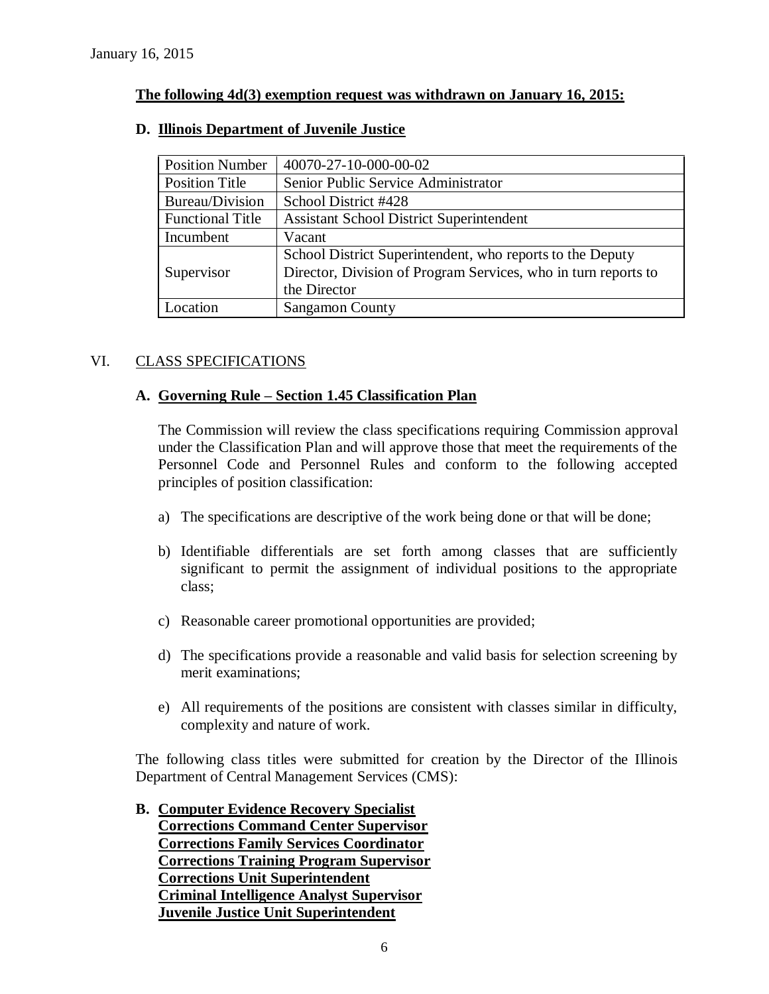### **The following 4d(3) exemption request was withdrawn on January 16, 2015:**

| <b>Position Number</b>  | 40070-27-10-000-00-02                                          |
|-------------------------|----------------------------------------------------------------|
| <b>Position Title</b>   | Senior Public Service Administrator                            |
| Bureau/Division         | School District #428                                           |
| <b>Functional Title</b> | <b>Assistant School District Superintendent</b>                |
| Incumbent               | Vacant                                                         |
|                         | School District Superintendent, who reports to the Deputy      |
| Supervisor              | Director, Division of Program Services, who in turn reports to |
|                         | the Director                                                   |
| Location                | <b>Sangamon County</b>                                         |

### **D. Illinois Department of Juvenile Justice**

### VI. CLASS SPECIFICATIONS

### **A. Governing Rule – Section 1.45 Classification Plan**

The Commission will review the class specifications requiring Commission approval under the Classification Plan and will approve those that meet the requirements of the Personnel Code and Personnel Rules and conform to the following accepted principles of position classification:

- a) The specifications are descriptive of the work being done or that will be done;
- b) Identifiable differentials are set forth among classes that are sufficiently significant to permit the assignment of individual positions to the appropriate class;
- c) Reasonable career promotional opportunities are provided;
- d) The specifications provide a reasonable and valid basis for selection screening by merit examinations;
- e) All requirements of the positions are consistent with classes similar in difficulty, complexity and nature of work.

The following class titles were submitted for creation by the Director of the Illinois Department of Central Management Services (CMS):

**B. Computer Evidence Recovery Specialist Corrections Command Center Supervisor Corrections Family Services Coordinator Corrections Training Program Supervisor Corrections Unit Superintendent Criminal Intelligence Analyst Supervisor Juvenile Justice Unit Superintendent**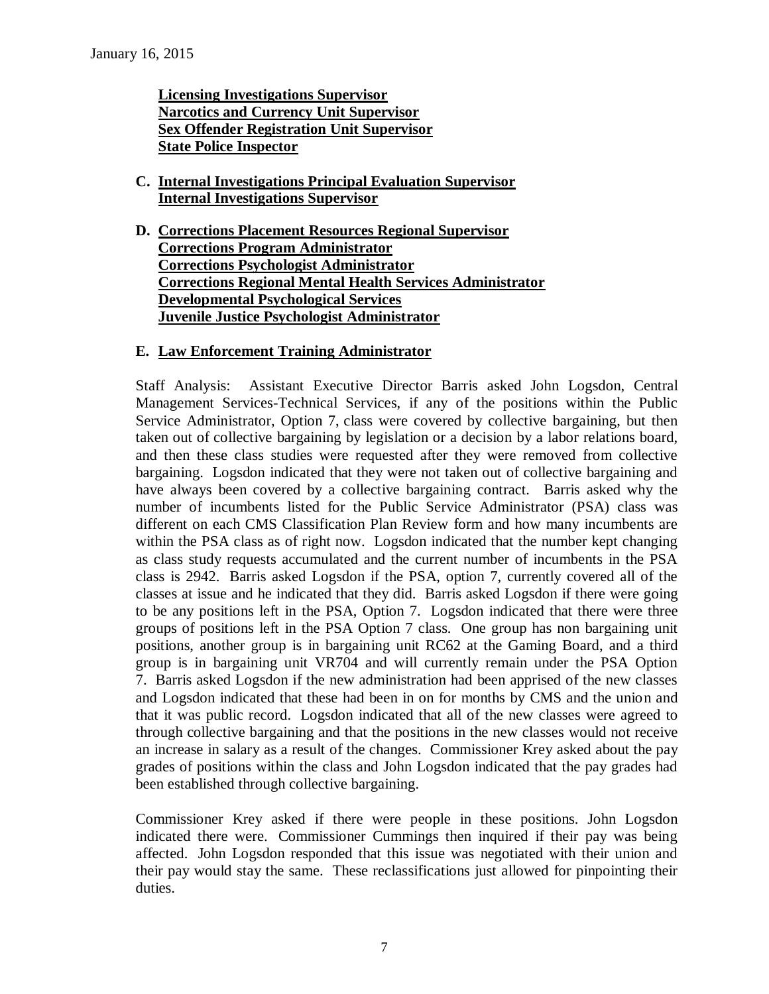**Licensing Investigations Supervisor Narcotics and Currency Unit Supervisor Sex Offender Registration Unit Supervisor State Police Inspector**

- **C. Internal Investigations Principal Evaluation Supervisor Internal Investigations Supervisor**
- **D. Corrections Placement Resources Regional Supervisor Corrections Program Administrator Corrections Psychologist Administrator Corrections Regional Mental Health Services Administrator Developmental Psychological Services Juvenile Justice Psychologist Administrator**

### **E. Law Enforcement Training Administrator**

Staff Analysis: Assistant Executive Director Barris asked John Logsdon, Central Management Services-Technical Services, if any of the positions within the Public Service Administrator, Option 7, class were covered by collective bargaining, but then taken out of collective bargaining by legislation or a decision by a labor relations board, and then these class studies were requested after they were removed from collective bargaining. Logsdon indicated that they were not taken out of collective bargaining and have always been covered by a collective bargaining contract. Barris asked why the number of incumbents listed for the Public Service Administrator (PSA) class was different on each CMS Classification Plan Review form and how many incumbents are within the PSA class as of right now. Logsdon indicated that the number kept changing as class study requests accumulated and the current number of incumbents in the PSA class is 2942. Barris asked Logsdon if the PSA, option 7, currently covered all of the classes at issue and he indicated that they did. Barris asked Logsdon if there were going to be any positions left in the PSA, Option 7. Logsdon indicated that there were three groups of positions left in the PSA Option 7 class. One group has non bargaining unit positions, another group is in bargaining unit RC62 at the Gaming Board, and a third group is in bargaining unit VR704 and will currently remain under the PSA Option 7. Barris asked Logsdon if the new administration had been apprised of the new classes and Logsdon indicated that these had been in on for months by CMS and the union and that it was public record. Logsdon indicated that all of the new classes were agreed to through collective bargaining and that the positions in the new classes would not receive an increase in salary as a result of the changes. Commissioner Krey asked about the pay grades of positions within the class and John Logsdon indicated that the pay grades had been established through collective bargaining.

Commissioner Krey asked if there were people in these positions. John Logsdon indicated there were. Commissioner Cummings then inquired if their pay was being affected. John Logsdon responded that this issue was negotiated with their union and their pay would stay the same. These reclassifications just allowed for pinpointing their duties.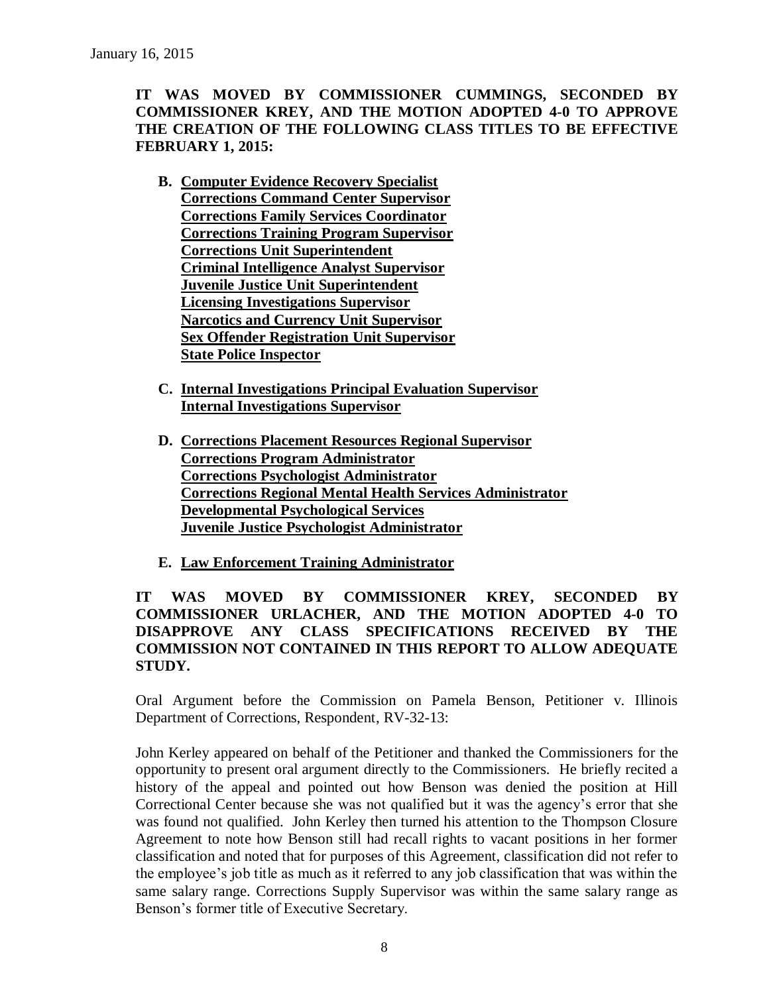**IT WAS MOVED BY COMMISSIONER CUMMINGS, SECONDED BY COMMISSIONER KREY, AND THE MOTION ADOPTED 4-0 TO APPROVE THE CREATION OF THE FOLLOWING CLASS TITLES TO BE EFFECTIVE FEBRUARY 1, 2015:**

- **B. Computer Evidence Recovery Specialist Corrections Command Center Supervisor Corrections Family Services Coordinator Corrections Training Program Supervisor Corrections Unit Superintendent Criminal Intelligence Analyst Supervisor Juvenile Justice Unit Superintendent Licensing Investigations Supervisor Narcotics and Currency Unit Supervisor Sex Offender Registration Unit Supervisor State Police Inspector**
- **C. Internal Investigations Principal Evaluation Supervisor Internal Investigations Supervisor**
- **D. Corrections Placement Resources Regional Supervisor Corrections Program Administrator Corrections Psychologist Administrator Corrections Regional Mental Health Services Administrator Developmental Psychological Services Juvenile Justice Psychologist Administrator**
- **E. Law Enforcement Training Administrator**

### **IT WAS MOVED BY COMMISSIONER KREY, SECONDED BY COMMISSIONER URLACHER, AND THE MOTION ADOPTED 4-0 TO DISAPPROVE ANY CLASS SPECIFICATIONS RECEIVED BY THE COMMISSION NOT CONTAINED IN THIS REPORT TO ALLOW ADEQUATE STUDY.**

Oral Argument before the Commission on Pamela Benson, Petitioner v. Illinois Department of Corrections, Respondent, RV-32-13:

John Kerley appeared on behalf of the Petitioner and thanked the Commissioners for the opportunity to present oral argument directly to the Commissioners. He briefly recited a history of the appeal and pointed out how Benson was denied the position at Hill Correctional Center because she was not qualified but it was the agency's error that she was found not qualified. John Kerley then turned his attention to the Thompson Closure Agreement to note how Benson still had recall rights to vacant positions in her former classification and noted that for purposes of this Agreement, classification did not refer to the employee's job title as much as it referred to any job classification that was within the same salary range. Corrections Supply Supervisor was within the same salary range as Benson's former title of Executive Secretary.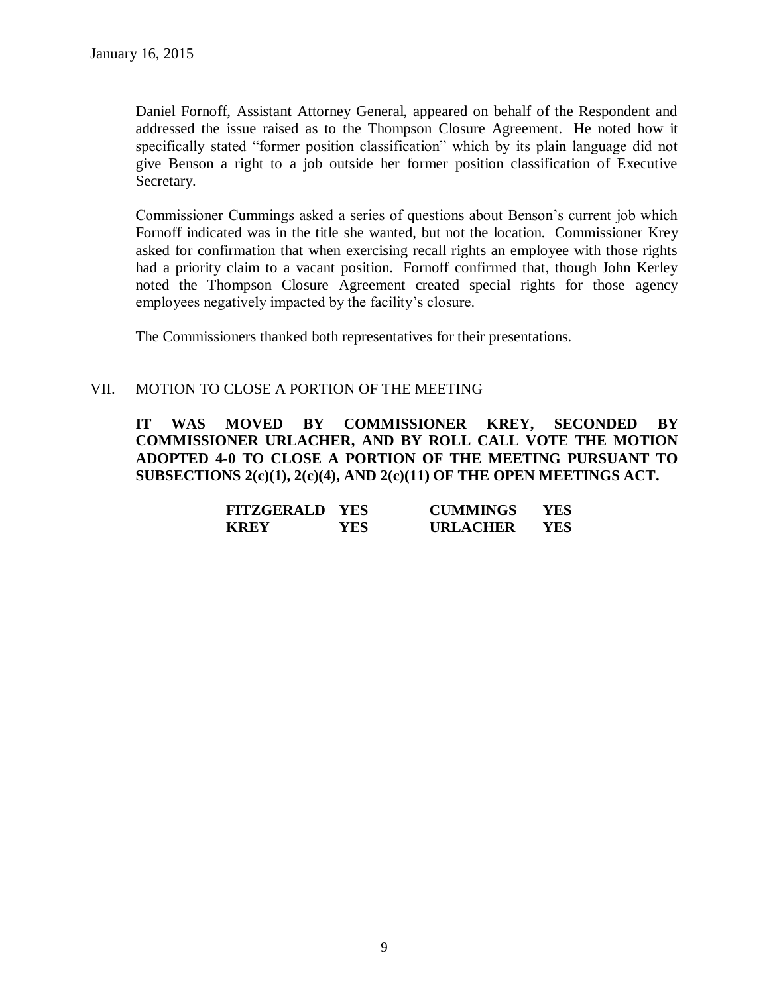Daniel Fornoff, Assistant Attorney General, appeared on behalf of the Respondent and addressed the issue raised as to the Thompson Closure Agreement. He noted how it specifically stated "former position classification" which by its plain language did not give Benson a right to a job outside her former position classification of Executive Secretary.

Commissioner Cummings asked a series of questions about Benson's current job which Fornoff indicated was in the title she wanted, but not the location. Commissioner Krey asked for confirmation that when exercising recall rights an employee with those rights had a priority claim to a vacant position. Fornoff confirmed that, though John Kerley noted the Thompson Closure Agreement created special rights for those agency employees negatively impacted by the facility's closure.

The Commissioners thanked both representatives for their presentations.

#### VII. MOTION TO CLOSE A PORTION OF THE MEETING

**IT WAS MOVED BY COMMISSIONER KREY, SECONDED BY COMMISSIONER URLACHER, AND BY ROLL CALL VOTE THE MOTION ADOPTED 4-0 TO CLOSE A PORTION OF THE MEETING PURSUANT TO SUBSECTIONS 2(c)(1), 2(c)(4), AND 2(c)(11) OF THE OPEN MEETINGS ACT.**

| <b>FITZGERALD YES</b> |      | <b>CUMMINGS</b> | YES |
|-----------------------|------|-----------------|-----|
| <b>KREY</b>           | YES. | <b>URLACHER</b> | YES |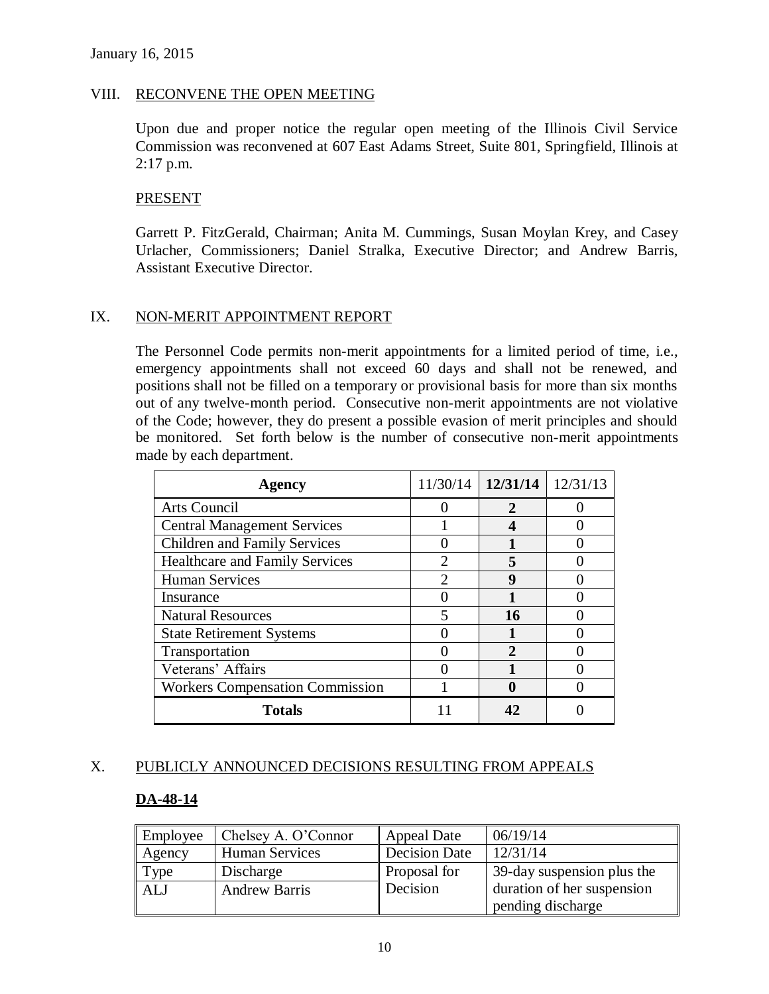### VIII. RECONVENE THE OPEN MEETING

Upon due and proper notice the regular open meeting of the Illinois Civil Service Commission was reconvened at 607 East Adams Street, Suite 801, Springfield, Illinois at 2:17 p.m.

#### **PRESENT**

Garrett P. FitzGerald, Chairman; Anita M. Cummings, Susan Moylan Krey, and Casey Urlacher, Commissioners; Daniel Stralka, Executive Director; and Andrew Barris, Assistant Executive Director.

### IX. NON-MERIT APPOINTMENT REPORT

The Personnel Code permits non-merit appointments for a limited period of time, i.e., emergency appointments shall not exceed 60 days and shall not be renewed, and positions shall not be filled on a temporary or provisional basis for more than six months out of any twelve-month period. Consecutive non-merit appointments are not violative of the Code; however, they do present a possible evasion of merit principles and should be monitored. Set forth below is the number of consecutive non-merit appointments made by each department.

| Agency                                 |   | $11/30/14$   $12/31/14$   $12/31/13$ |  |
|----------------------------------------|---|--------------------------------------|--|
| Arts Council                           |   | 2                                    |  |
| <b>Central Management Services</b>     |   |                                      |  |
| <b>Children and Family Services</b>    |   |                                      |  |
| <b>Healthcare and Family Services</b>  | ി |                                      |  |
| <b>Human Services</b>                  | 2 | 9                                    |  |
| Insurance                              |   |                                      |  |
| <b>Natural Resources</b>               |   | 16                                   |  |
| <b>State Retirement Systems</b>        |   |                                      |  |
| Transportation                         |   |                                      |  |
| Veterans' Affairs                      |   |                                      |  |
| <b>Workers Compensation Commission</b> |   |                                      |  |
| <b>Totals</b>                          |   |                                      |  |

#### X. PUBLICLY ANNOUNCED DECISIONS RESULTING FROM APPEALS

#### **DA-48-14**

| Employee   | Chelsey A. O'Connor   | <b>Appeal Date</b>   | 06/19/14                   |
|------------|-----------------------|----------------------|----------------------------|
| Agency     | <b>Human Services</b> | <b>Decision Date</b> | 12/31/14                   |
| Type       | Discharge             | Proposal for         | 39-day suspension plus the |
| <b>ALJ</b> | <b>Andrew Barris</b>  | Decision             | duration of her suspension |
|            |                       |                      | pending discharge          |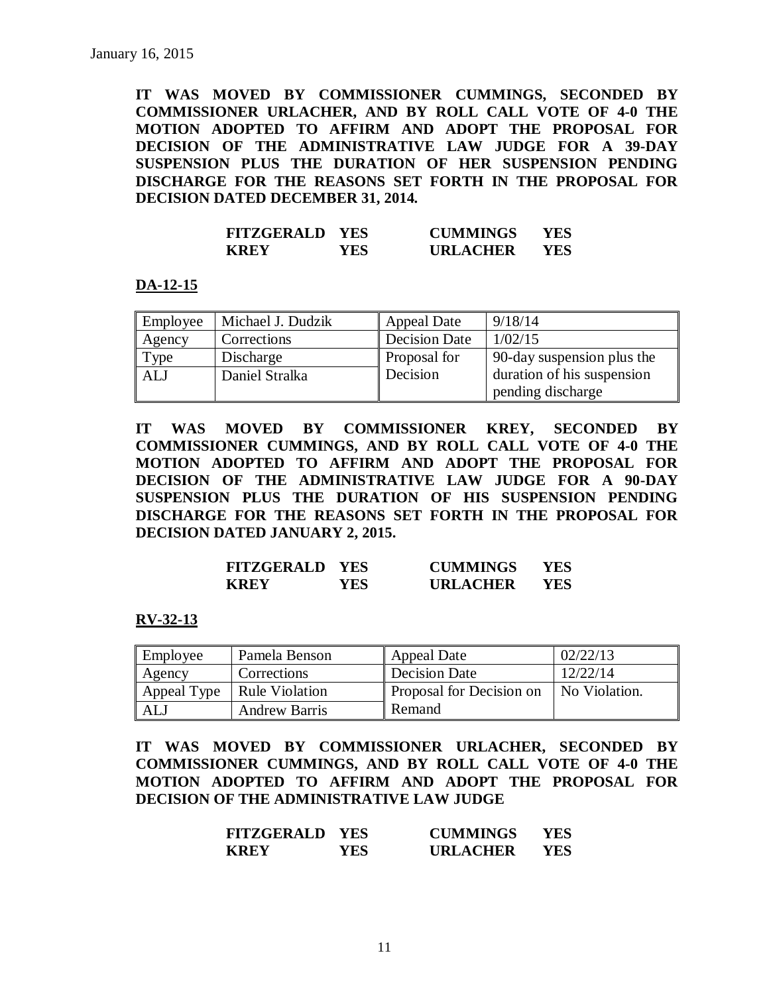**IT WAS MOVED BY COMMISSIONER CUMMINGS, SECONDED BY COMMISSIONER URLACHER, AND BY ROLL CALL VOTE OF 4-0 THE MOTION ADOPTED TO AFFIRM AND ADOPT THE PROPOSAL FOR DECISION OF THE ADMINISTRATIVE LAW JUDGE FOR A 39-DAY SUSPENSION PLUS THE DURATION OF HER SUSPENSION PENDING DISCHARGE FOR THE REASONS SET FORTH IN THE PROPOSAL FOR DECISION DATED DECEMBER 31, 2014.**

| <b>FITZGERALD YES</b> |      | <b>CUMMINGS</b> | YES |
|-----------------------|------|-----------------|-----|
| <b>KREY</b>           | YES. | <b>URLACHER</b> | YES |

#### **DA-12-15**

| Employee   | Michael J. Dudzik | <b>Appeal Date</b>   | 9/18/14                    |
|------------|-------------------|----------------------|----------------------------|
| Agency     | Corrections       | <b>Decision Date</b> | 1/02/15                    |
| Type       | Discharge         | Proposal for         | 90-day suspension plus the |
| <b>ALJ</b> | Daniel Stralka    | Decision             | duration of his suspension |
|            |                   |                      | pending discharge          |

**IT WAS MOVED BY COMMISSIONER KREY, SECONDED BY COMMISSIONER CUMMINGS, AND BY ROLL CALL VOTE OF 4-0 THE MOTION ADOPTED TO AFFIRM AND ADOPT THE PROPOSAL FOR DECISION OF THE ADMINISTRATIVE LAW JUDGE FOR A 90-DAY SUSPENSION PLUS THE DURATION OF HIS SUSPENSION PENDING DISCHARGE FOR THE REASONS SET FORTH IN THE PROPOSAL FOR DECISION DATED JANUARY 2, 2015.**

| <b>FITZGERALD YES</b> |      | <b>CUMMINGS</b> | YES  |
|-----------------------|------|-----------------|------|
| <b>KREY</b>           | YES. | <b>URLACHER</b> | YES. |

#### **RV-32-13**

| Employee | Pamela Benson                | <b>Appeal Date</b>       | 02/22/13      |
|----------|------------------------------|--------------------------|---------------|
| Agency   | Corrections                  | Decision Date            | 12/22/14      |
|          | Appeal Type   Rule Violation | Proposal for Decision on | No Violation. |
| ALJ      | <b>Andrew Barris</b>         | Remand                   |               |

**IT WAS MOVED BY COMMISSIONER URLACHER, SECONDED BY COMMISSIONER CUMMINGS, AND BY ROLL CALL VOTE OF 4-0 THE MOTION ADOPTED TO AFFIRM AND ADOPT THE PROPOSAL FOR DECISION OF THE ADMINISTRATIVE LAW JUDGE** 

| <b>FITZGERALD</b> | <b>YES</b> | <b>CUMMINGS</b> | YES |
|-------------------|------------|-----------------|-----|
| <b>KREY</b>       | YES.       | <b>URLACHER</b> | YES |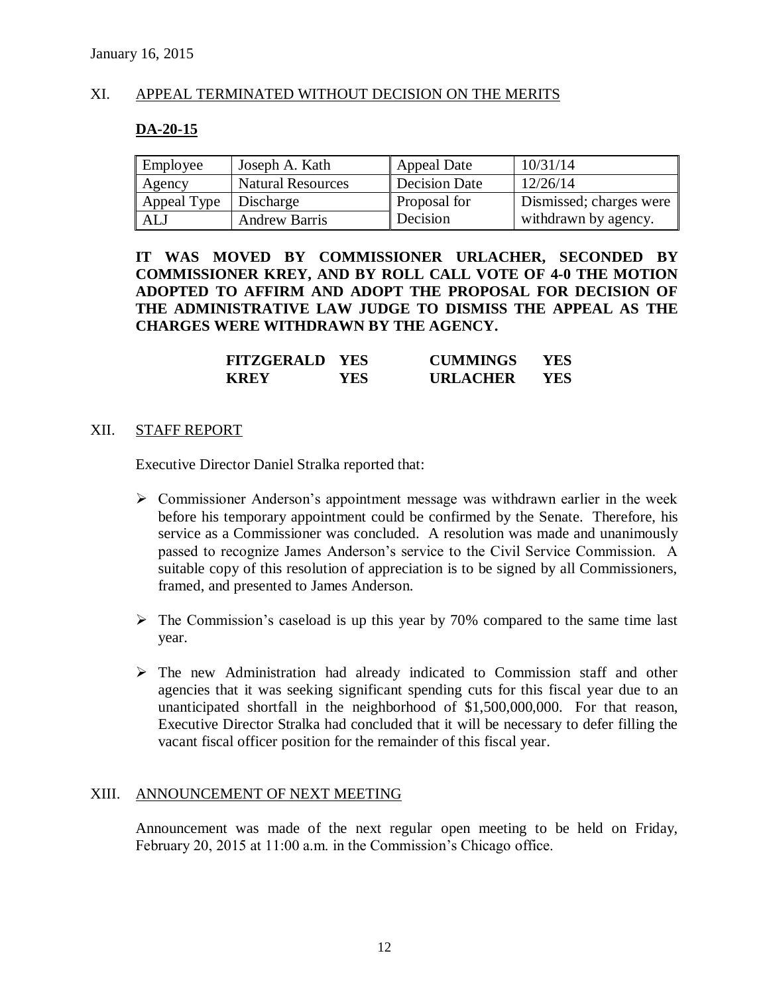### XI. APPEAL TERMINATED WITHOUT DECISION ON THE MERITS

#### **DA-20-15**

| Employee                | Joseph A. Kath           | Appeal Date         | 10/31/14                            |
|-------------------------|--------------------------|---------------------|-------------------------------------|
| Agency                  | <b>Natural Resources</b> | Decision Date       | 12/26/14                            |
| Appeal Type   Discharge |                          | <b>Proposal for</b> | Dismissed; charges were $\parallel$ |
| ALJ                     | <b>Andrew Barris</b>     | Decision            | withdrawn by agency.                |

**IT WAS MOVED BY COMMISSIONER URLACHER, SECONDED BY COMMISSIONER KREY, AND BY ROLL CALL VOTE OF 4-0 THE MOTION ADOPTED TO AFFIRM AND ADOPT THE PROPOSAL FOR DECISION OF THE ADMINISTRATIVE LAW JUDGE TO DISMISS THE APPEAL AS THE CHARGES WERE WITHDRAWN BY THE AGENCY.**

| <b>FITZGERALD YES</b> |      | <b>CUMMINGS</b> | YES |
|-----------------------|------|-----------------|-----|
| <b>KREY</b>           | YES. | <b>URLACHER</b> | YES |

#### XII. STAFF REPORT

Executive Director Daniel Stralka reported that:

- $\triangleright$  Commissioner Anderson's appointment message was withdrawn earlier in the week before his temporary appointment could be confirmed by the Senate. Therefore, his service as a Commissioner was concluded. A resolution was made and unanimously passed to recognize James Anderson's service to the Civil Service Commission. A suitable copy of this resolution of appreciation is to be signed by all Commissioners, framed, and presented to James Anderson.
- $\triangleright$  The Commission's caseload is up this year by 70% compared to the same time last year.
- $\triangleright$  The new Administration had already indicated to Commission staff and other agencies that it was seeking significant spending cuts for this fiscal year due to an unanticipated shortfall in the neighborhood of \$1,500,000,000. For that reason, Executive Director Stralka had concluded that it will be necessary to defer filling the vacant fiscal officer position for the remainder of this fiscal year.

#### XIII. ANNOUNCEMENT OF NEXT MEETING

Announcement was made of the next regular open meeting to be held on Friday, February 20, 2015 at 11:00 a.m. in the Commission's Chicago office.